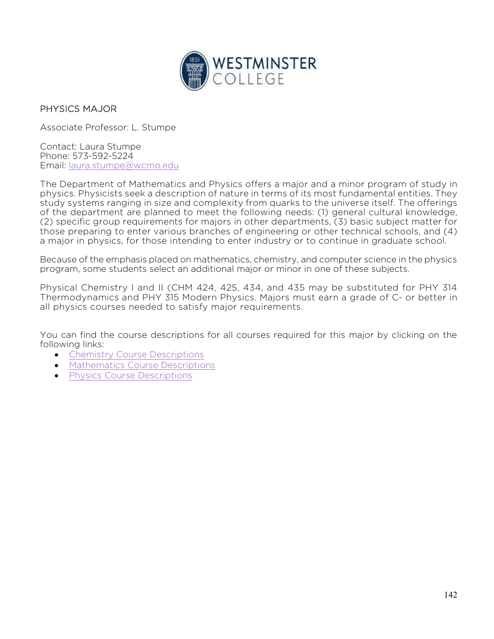

## PHYSICS MAJOR

Associate Professor: L. Stumpe

Contact: Laura Stumpe Phone: 573-592-5224 Email: laura.stumpe@wcmo.edu

The Department of Mathematics and Physics offers a major and a minor program of study in physics. Physicists seek a description of nature in terms of its most fundamental entities. They study systems ranging in size and complexity from quarks to the universe itself. The offerings of the department are planned to meet the following needs: (1) general cultural knowledge, (2) specific group requirements for majors in other departments, (3) basic subject matter for those preparing to enter various branches of engineering or other technical schools, and (4) a major in physics, for those intending to enter industry or to continue in graduate school.

Because of the emphasis placed on mathematics, chemistry, and computer science in the physics program, some students select an additional major or minor in one of these subjects.

Physical Chemistry I and II (CHM 424, 425, 434, and 435 may be substituted for PHY 314 Thermodynamics and PHY 315 Modern Physics. Majors must earn a grade of C- or better in all physics courses needed to satisfy major requirements.

You can find the course descriptions for all courses required for this major by clicking on the following links:

- Chemistry Course Descriptions
- Mathematics Course Descriptions
- Physics Course Descriptions